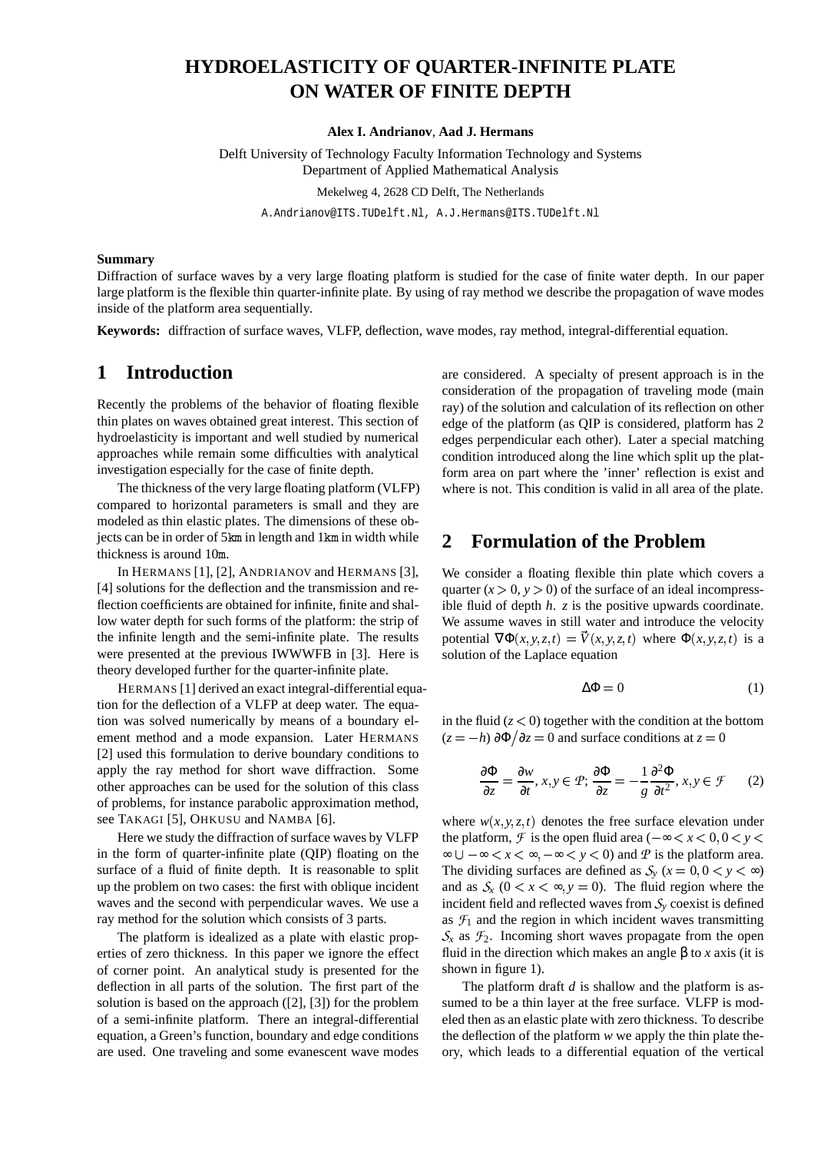# **HYDROELASTICITY OF QUARTER-INFINITE PLATE ON WATER OF FINITE DEPTH**

**Alex I. Andrianov**, **Aad J. Hermans**

Delft University of Technology Faculty Information Technology and Systems Department of Applied Mathematical Analysis Mekelweg 4, 2628 CD Delft, The Netherlands A.Andrianov@ITS.TUDelft.Nl, A.J.Hermans@ITS.TUDelft.Nl

#### **Summary**

Diffraction of surface waves by a very large floating platform is studied for the case of finite water depth. In our paper large platform is the flexible thin quarter-infinite plate. By using of ray method we describe the propagation of wave modes inside of the platform area sequentially.

**Keywords:** diffraction of surface waves, VLFP, deflection, wave modes, ray method, integral-differential equation.

#### **1 Introduction**

Recently the problems of the behavior of floating flexible thin plates on waves obtained great interest. This section of hydroelasticity is important and well studied by numerical approaches while remain some difficulties with analytical investigation especially for the case of finite depth.

The thickness of the very large floating platform (VLFP) compared to horizontal parameters is small and they are modeled as thin elastic plates. The dimensions of these objects can be in order of 5km in length and 1km in width while thickness is around 10 .

In HERMANS [1], [2], ANDRIANOV and HERMANS [3], [4] solutions for the deflection and the transmission and reflection coefficients are obtained for infinite, finite and shallow water depth for such forms of the platform: the strip of the infinite length and the semi-infinite plate. The results were presented at the previous IWWWFB in [3]. Here is theory developed further for the quarter-infinite plate.

HERMANS [1] derived an exact integral-differential equation for the deflection of a VLFP at deep water. The equation was solved numerically by means of a boundary element method and a mode expansion. Later HERMANS [2] used this formulation to derive boundary conditions to apply the ray method for short wave diffraction. Some other approaches can be used for the solution of this class of problems, for instance parabolic approximation method, see TAKAGI [5], OHKUSU and NAMBA [6].

Here we study the diffraction of surface waves by VLFP in the form of quarter-infinite plate (QIP) floating on the surface of a fluid of finite depth. It is reasonable to split up the problem on two cases: the first with oblique incident waves and the second with perpendicular waves. We use a ray method for the solution which consists of 3 parts.

The platform is idealized as a plate with elastic properties of zero thickness. In this paper we ignore the effect of corner point. An analytical study is presented for the deflection in all parts of the solution. The first part of the solution is based on the approach ([2], [3]) for the problem of a semi-infinite platform. There an integral-differential equation, a Green's function, boundary and edge conditions are used. One traveling and some evanescent wave modes are considered. A specialty of present approach is in the consideration of the propagation of traveling mode (main ray) of the solution and calculation of its reflection on other edge of the platform (as QIP is considered, platform has 2 edges perpendicular each other). Later a special matching condition introduced along the line which split up the platform area on part where the 'inner' reflection is exist and where is not. This condition is valid in all area of the plate.

## **2 Formulation of the Problem**

We consider a floating flexible thin plate which covers a quarter  $(x > 0, y > 0)$  of the surface of an ideal incompressible fluid of depth *h*. *z* is the positive upwards coordinate. We assume waves in still water and introduce the velocity potential  $\nabla \Phi(x, y, z, t) = V(x, y, z, t)$  where  $\Phi(x, y, z, t)$  is a solution of the Laplace equation

$$
\Delta \Phi = 0 \tag{1}
$$

in the fluid  $(z < 0)$  together with the condition at the bottom  $(z = -h) \frac{\partial \Phi}{\partial z} = 0$  and surface conditions at  $z = 0$ 

$$
\frac{\partial \Phi}{\partial z} = \frac{\partial w}{\partial t}, x, y \in \mathcal{P}; \frac{\partial \Phi}{\partial z} = -\frac{1}{g} \frac{\partial^2 \Phi}{\partial t^2}, x, y \in \mathcal{F} \qquad (2)
$$

where  $w(x, y, z, t)$  denotes the free surface elevation under the platform,  $\mathcal F$  is the open fluid area ( $-\infty < x < 0, 0 < y <$  $\infty \cup -\infty < x < \infty, -\infty < y < 0$  and P is the platform area. The dividing surfaces are defined as  $S_y$  ( $x = 0, 0 < y < \infty$ ) and as  $S_x$  ( $0 < x < \infty$ ,  $y = 0$ ). The fluid region where the incident field and reflected waves from  $S<sub>y</sub>$  coexist is defined as  $\mathcal{F}_1$  and the region in which incident waves transmitting  $S_r$  as  $\mathcal{F}_2$ . Incoming short waves propagate from the open fluid in the direction which makes an angle β to *x* axis (it is shown in figure 1).

The platform draft *d* is shallow and the platform is assumed to be a thin layer at the free surface. VLFP is modeled then as an elastic plate with zero thickness. To describe the deflection of the platform *w* we apply the thin plate theory, which leads to a differential equation of the vertical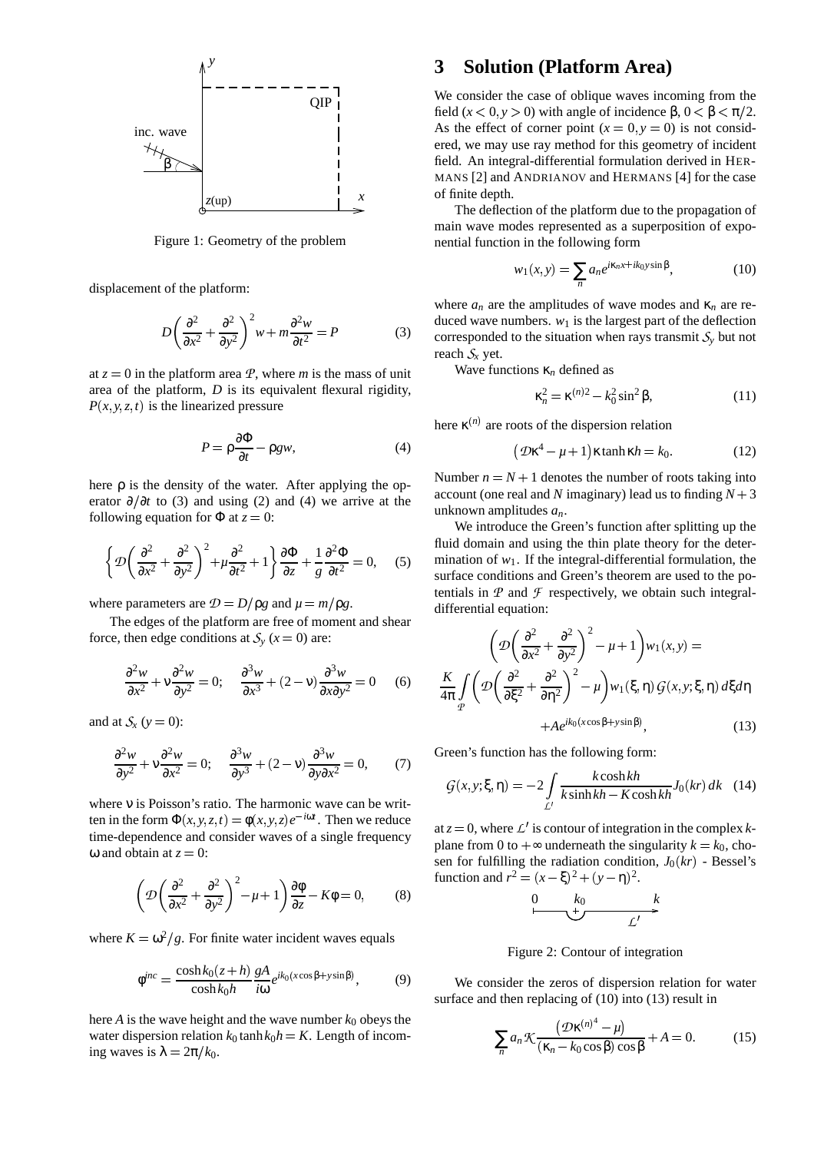

Figure 1: Geometry of the problem

displacement of the platform:

$$
D\left(\frac{\partial^2}{\partial x^2} + \frac{\partial^2}{\partial y^2}\right)^2 w + m\frac{\partial^2 w}{\partial t^2} = P
$$
 (3)

at  $z = 0$  in the platform area  $\mathcal{P}$ , where *m* is the mass of unit area of the platform, *D* is its equivalent flexural rigidity,  $P(x, y, z, t)$  is the linearized pressure

$$
P = \rho \frac{\partial \Phi}{\partial t} - \rho g w,\tag{4}
$$

here  $\rho$  is the density of the water. After applying the operator  $\partial/\partial t$  to (3) and using (2) and (4) we arrive at the following equation for  $\Phi$  at  $z = 0$ :

$$
\left\{\mathcal{D}\left(\frac{\partial^2}{\partial x^2} + \frac{\partial^2}{\partial y^2}\right)^2 + \mu \frac{\partial^2}{\partial t^2} + 1\right\} \frac{\partial \Phi}{\partial z} + \frac{1}{g} \frac{\partial^2 \Phi}{\partial t^2} = 0, \quad (5) \quad \frac{\text{III}}{\text{st}}
$$

where parameters are  $\mathcal{D} = D/\rho g$  and  $\mu = m/\rho g$ .

The edges of the platform are free of moment and shear force, then edge conditions at  $S_y$  ( $x = 0$ ) are:

$$
\frac{\partial^2 w}{\partial x^2} + v \frac{\partial^2 w}{\partial y^2} = 0; \quad \frac{\partial^3 w}{\partial x^3} + (2 - v) \frac{\partial^3 w}{\partial x \partial y^2} = 0 \quad (6) \quad \frac{1}{4}
$$

and at  $S_x$  ( $y = 0$ ):

$$
\frac{\partial^2 w}{\partial y^2} + v \frac{\partial^2 w}{\partial x^2} = 0; \quad \frac{\partial^3 w}{\partial y^3} + (2 - v) \frac{\partial^3 w}{\partial y \partial x^2} = 0, \quad (7)
$$

where ν is Poisson's ratio. The harmonic wave can be written in the form  $\Phi(x, y, z, t) = \phi(x, y, z)e^{-i\omega t}$ . Then we reduce time-dependence and consider waves of a single frequency ω and obtain at  $z = 0$ :

$$
\left(\mathcal{D}\left(\frac{\partial^2}{\partial x^2} + \frac{\partial^2}{\partial y^2}\right)^2 - \mu + 1\right)\frac{\partial\phi}{\partial z} - K\phi = 0,\qquad(8)
$$

where  $K = \omega^2/g$ . For finite water incident waves equals

$$
\phi^{inc} = \frac{\cosh k_0 (z+h)}{\cosh k_0 h} \frac{gA}{i\omega} e^{ik_0 (x\cos\beta + y\sin\beta)},\tag{9}
$$

here  $A$  is the wave height and the wave number  $k_0$  obeys the water dispersion relation  $k_0$  tanh  $k_0$ *h* = *K*. Length of incoming waves is  $\lambda = 2\pi/k_0$ .

# **3 Solution (Platform Area)**

We consider the case of oblique waves incoming from the field  $(x < 0, y > 0)$  with angle of incidence  $\beta$ ,  $0 < \beta < \pi/2$ . As the effect of corner point  $(x = 0, y = 0)$  is not considered, we may use ray method for this geometry of incident field. An integral-differential formulation derived in HER-MANS [2] and ANDRIANOV and HERMANS [4] for the case of finite depth.

The deflection of the platform due to the propagation of main wave modes represented as a superposition of exponential function in the following form

$$
w_1(x, y) = \sum_n a_n e^{i\kappa_n x + ik_0 y \sin \beta}, \qquad (10)
$$

where  $a_n$  are the amplitudes of wave modes and  $\kappa_n$  are reduced wave numbers.  $w_1$  is the largest part of the deflection corresponded to the situation when rays transmit  $S<sub>v</sub>$  but not reach  $S_x$  yet.

Wave functions κ*<sup>n</sup>* defined as

$$
\kappa_n^2 = \kappa^{(n)2} - k_0^2 \sin^2 \beta,
$$
 (11)

here  $\kappa^{(n)}$  are roots of the dispersion relation

$$
(\mathcal{D}\kappa^4 - \mu + 1)\kappa \tanh \kappa h = k_0.
$$
 (12)

Number  $n = N + 1$  denotes the number of roots taking into account (one real and *N* imaginary) lead us to finding  $N + 3$ unknown amplitudes *an*.

We introduce the Green's function after splitting up the fluid domain and using the thin plate theory for the determination of  $w_1$ . If the integral-differential formulation, the surface conditions and Green's theorem are used to the potentials in  $P$  and  $T$  respectively, we obtain such integraldifferential equation:

$$
\left(D\left(\frac{\partial^2}{\partial x^2} + \frac{\partial^2}{\partial y^2}\right)^2 - \mu + 1\right)w_1(x, y) =
$$
\n
$$
\frac{K}{4\pi} \int_{\mathcal{P}} \left(D\left(\frac{\partial^2}{\partial \xi^2} + \frac{\partial^2}{\partial \eta^2}\right)^2 - \mu\right)w_1(\xi, \eta) G(x, y; \xi, \eta) d\xi d\eta
$$
\n
$$
+ A e^{ik_0(x\cos\beta + y\sin\beta)}, \qquad (13)
$$

Green's function has the following form:

$$
G(x, y; \xi, \eta) = -2 \int_{L'} \frac{k \cosh kh}{k \sinh kh - K \cosh kh} J_0(kr) dk \quad (14)
$$

at  $z = 0$ , where  $\mathcal{L}'$  is contour of integration in the complex *k*plane from 0 to  $+\infty$  underneath the singularity  $k = k_0$ , chosen for fulfilling the radiation condition,  $J_0(kr)$  - Bessel's function and  $r^2 = (x - \xi)^2 + (y - \eta)^2$ .

0 *k*<sup>0</sup> *k*

Figure 2: Contour of integration

We consider the zeros of dispersion relation for water surface and then replacing of (10) into (13) result in

$$
\sum_{n} a_n \mathcal{K} \frac{(\mathcal{D}\kappa^{(n)^4} - \mu)}{(\kappa_n - k_0 \cos \beta) \cos \beta} + A = 0.
$$
 (15)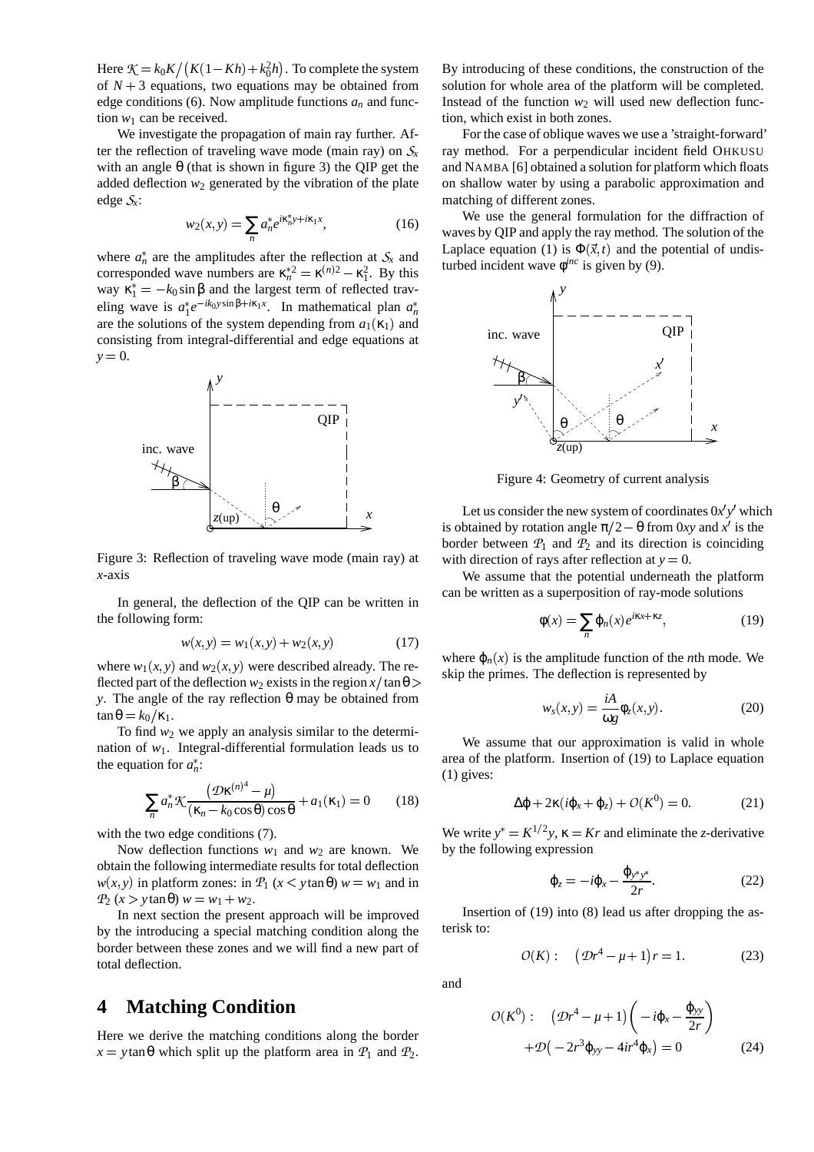Here  $K = k_0 K / (K(1 - Kh) + k_0^2 h)$ . To complete the system of  $N + 3$  equations, two equations may be obtained from edge conditions (6). Now amplitude functions  $a_n$  and function  $w_1$  can be received.

We investigate the propagation of main ray further. After the reflection of traveling wave mode (main ray) on  $S<sub>r</sub>$ with an angle  $\theta$  (that is shown in figure 3) the QIP get the added deflection  $w_2$  generated by the vibration of the plate edge *x*:

$$
w_2(x, y) = \sum_{n} a_n^* e^{i\kappa_n^* y + i\kappa_1 x}, \qquad (16)
$$

where  $a_n^*$  are the amplitudes after the reflection at  $S_x$  and corresponded wave numbers are  $\kappa_n^{*2} = \kappa^{(n)2} - \kappa_1^2$ . By this way  $\kappa_1^* = -k_0 \sin \beta$  and the largest term of reflected traveling wave is  $a_1^* e^{-ik_0 y \sin \beta + i\kappa_1 x}$ . In mathematical plan  $a_n^*$ are the solutions of the system depending from  $a_1(\kappa_1)$  and consisting from integral-differential and edge equations at  $y = 0$ .  $\alpha$  replacements  $\alpha$ 



Figure 3: Reflection of traveling wave mode (main ray) at *x*-axis

In general, the deflection of the QIP can be written in the following form:

$$
w(x, y) = w_1(x, y) + w_2(x, y)
$$
 (17)

where  $w_1(x, y)$  and  $w_2(x, y)$  were described already. The reflected part of the deflection  $w_2$  exists in the region  $x/\tan\theta$ *y*. The angle of the ray reflection θ may be obtained from  $\tan \theta = k_0 / \kappa_1$ .

To find  $w_2$  we apply an analysis similar to the determination of  $w_1$ . Integral-differential formulation leads us to the equation for  $a_n^*$ :

$$
\sum_{n} a_n^* \mathcal{K} \frac{(\mathcal{D}\kappa^{(n)^4} - \mu)}{(\kappa_n - k_0 \cos \theta) \cos \theta} + a_1(\kappa_1) = 0 \qquad (18)
$$

with the two edge conditions  $(7)$ .

Now deflection functions  $w_1$  and  $w_2$  are known. We obtain the following intermediate results for total deflection  $w(x, y)$  in platform zones: in  $P_1$  ( $x < y \tan \theta$ )  $w = w_1$  and in  $\mathcal{P}_2(x > y \tan \theta) w = w_1 + w_2.$ 

In next section the present approach will be improved by the introducing a special matching condition along the border between these zones and we will find a new part of total deflection.

# **4 Matching Condition**

Here we derive the matching conditions along the border  $x = y \tan \theta$  which split up the platform area in  $\mathcal{P}_1$  and  $\mathcal{P}_2$ .

By introducing of these conditions, the construction of the solution for whole area of the platform will be completed. Instead of the function  $w_2$  will used new deflection function, which exist in both zones.

For the case of oblique waves we use a 'straight-forward' ray method. For a perpendicular incident field OHKUSU and NAMBA [6] obtained a solution for platform which floats on shallow water by using a parabolic approximation and matching of different zones.

We use the general formulation for the diffraction of waves by QIP and apply the ray method. The solution of the Laplace equation (1) is  $\Phi(\vec{x},t)$  and the potential of undisturbed incident wave  $\phi^{inc}$  is given by (9).



Figure 4: Geometry of current analysis

Let us consider the new system of coordinates  $0x'y'$  which is obtained by rotation angle  $\pi/2 - \theta$  from 0*xy* and *x*<sup>'</sup> is the border between  $P_1$  and  $P_2$  and its direction is coinciding with direction of rays after reflection at  $y = 0$ .

We assume that the potential underneath the platform can be written as a superposition of ray-mode solutions

$$
\phi(x) = \sum_{n} \varphi_n(x) e^{i\kappa x + \kappa z},\tag{19}
$$

where  $\varphi_n(x)$  is the amplitude function of the *n*th mode. We skip the primes. The deflection is represented by

$$
w_s(x, y) = \frac{iA}{\omega g} \phi_z(x, y).
$$
 (20)

We assume that our approximation is valid in whole area of the platform. Insertion of (19) to Laplace equation (1) gives:

$$
\Delta \varphi + 2\kappa (i\varphi_x + \varphi_z) + O(K^0) = 0. \tag{21}
$$

We write  $y^* = K^{1/2}y$ ,  $\kappa = Kr$  and eliminate the *z*-derivative by the following expression

$$
\varphi_z = -i\varphi_x - \frac{\varphi_{y^*y^*}}{2r}.
$$
\n(22)

Insertion of (19) into (8) lead us after dropping the asterisk to:

$$
O(K): \quad (\mathcal{D}r^4 - \mu + 1)r = 1. \tag{23}
$$

and

$$
O(K^{0}): \left(Dr^{4}-\mu+1\right)\left(-i\varphi_{x}-\frac{\varphi_{yy}}{2r}\right) + \mathcal{D}\left(-2r^{3}\varphi_{yy}-4ir^{4}\varphi_{x}\right)=0
$$
 (24)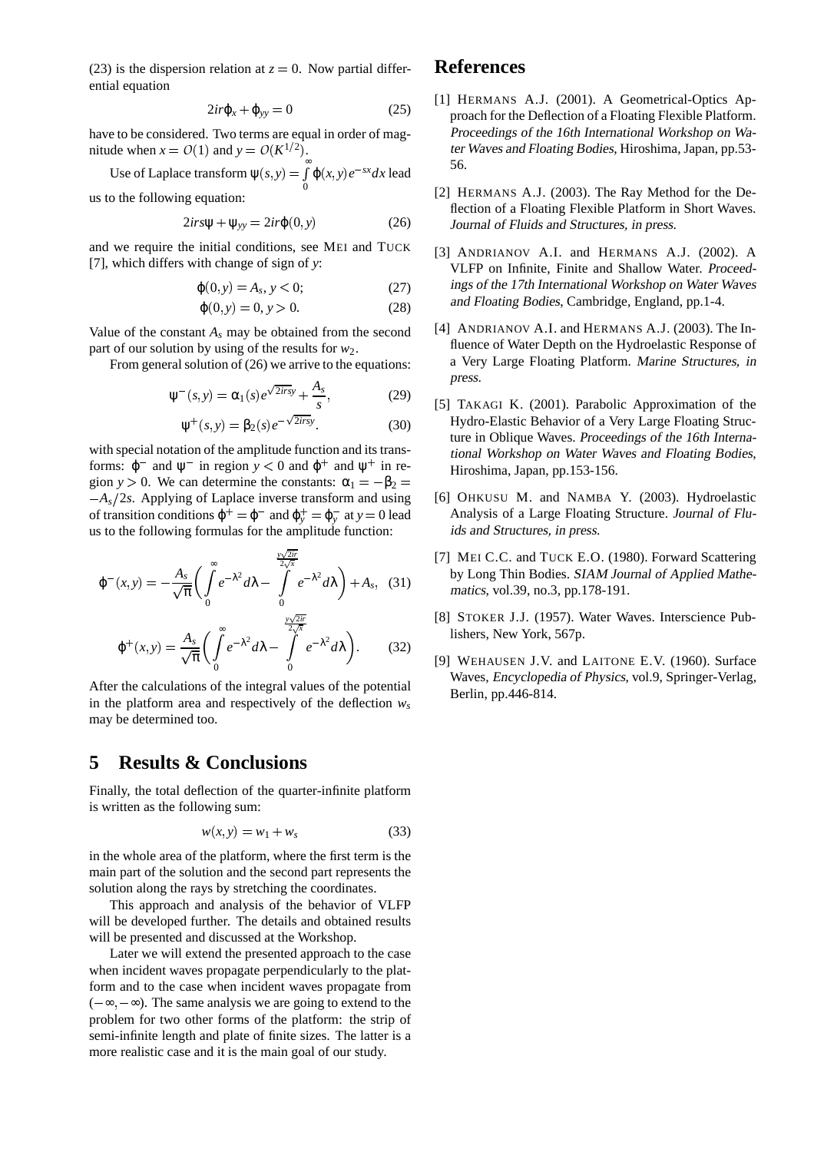(23) is the dispersion relation at  $z = 0$ . Now partial differential equation

$$
2ir\varphi_x + \varphi_{yy} = 0 \tag{25}
$$

have to be considered. Two terms are equal in order of magnitude when  $x = O(1)$  and  $y = O(K^{1/2})$ .

Use of Laplace transform 
$$
\psi(s, y) = \int_{0}^{\infty} \varphi(x, y) e^{-sx} dx
$$
 lead

us to the following equation:

$$
2irs\Psi + \Psi_{yy} = 2ir\varphi(0, y)
$$
 (26)

and we require the initial conditions, see MEI and TUCK [7], which differs with change of sign of *y*:

$$
\varphi(0, y) = A_s, y < 0; \tag{27}
$$

$$
\varphi(0, y) = 0, y > 0.
$$
 (28)

Value of the constant  $A_s$  may be obtained from the second part of our solution by using of the results for *w*2.

From general solution of  $(26)$  we arrive to the equations:

$$
\Psi^{-}(s, y) = \alpha_1(s)e^{\sqrt{2irs}y} + \frac{A_s}{s}, \qquad (29)
$$

$$
\Psi^+(s, y) = \beta_2(s)e^{-\sqrt{2}irsy}.\tag{30}
$$

with special notation of the amplitude function and its transforms:  $\varphi^-$  and  $\psi^-$  in region  $y < 0$  and  $\varphi^+$  and  $\psi^+$  in region *y* > 0. We can determine the constants:  $\alpha_1 = -\beta_2 =$  $-A<sub>s</sub>/2s$ . Applying of Laplace inverse transform and using of transition conditions  $\varphi^+ = \varphi^-$  and  $\varphi^+_y = \varphi^-_y$  at  $y = 0$  lead  $\qquad \qquad$ us to the following formulas for the amplitude function:

$$
\varphi^{-}(x,y) = -\frac{A_s}{\sqrt{\pi}} \left( \int_0^{\infty} e^{-\lambda^2} d\lambda - \int_0^{\frac{y\sqrt{2ir}}{2\sqrt{x}}} e^{-\lambda^2} d\lambda \right) + A_s, (31)
$$
  

$$
\varphi^{+}(x,y) = \frac{A_s}{\sqrt{\pi}} \left( \int_0^{\infty} e^{-\lambda^2} d\lambda - \int_0^{\frac{y\sqrt{2ir}}{2\sqrt{x}}} e^{-\lambda^2} d\lambda \right). \qquad (32)
$$

After the calculations of the integral values of the potential in the platform area and respectively of the deflection  $w_s$ may be determined too.

# **5 Results & Conclusions**

Finally, the total deflection of the quarter-infinite platform is written as the following sum:

$$
w(x, y) = w_1 + w_s \tag{33}
$$

in the whole area of the platform, where the first term is the main part of the solution and the second part represents the solution along the rays by stretching the coordinates.

This approach and analysis of the behavior of VLFP will be developed further. The details and obtained results will be presented and discussed at the Workshop.

Later we will extend the presented approach to the case when incident waves propagate perpendicularly to the platform and to the case when incident waves propagate from  $(-\infty, -\infty)$ . The same analysis we are going to extend to the problem for two other forms of the platform: the strip of semi-infinite length and plate of finite sizes. The latter is a more realistic case and it is the main goal of our study.

#### **References**

- [1] HERMANS A.J. (2001). A Geometrical-Optics Approach for the Deflection of a Floating Flexible Platform. Proceedings of the 16th International Workshop on Water Waves and Floating Bodies, Hiroshima, Japan, pp.53- 56.
- [2] HERMANS A.J. (2003). The Ray Method for the Deflection of a Floating Flexible Platform in Short Waves. Journal of Fluids and Structures, in press.
- [3] ANDRIANOV A.I. and HERMANS A.J. (2002). A VLFP on Infinite, Finite and Shallow Water. Proceedings of the 17th International Workshop on Water Waves and Floating Bodies, Cambridge, England, pp.1-4.
- [4] ANDRIANOV A.I. and HERMANS A.J. (2003). The Influence of Water Depth on the Hydroelastic Response of a Very Large Floating Platform. Marine Structures, in press.
- [5] TAKAGI K. (2001). Parabolic Approximation of the Hydro-Elastic Behavior of a Very Large Floating Structure in Oblique Waves. Proceedings of the 16th International Workshop on Water Waves and Floating Bodies, Hiroshima, Japan, pp.153-156.
- [6] OHKUSU M. and NAMBA Y. (2003). Hydroelastic Analysis of a Large Floating Structure. Journal of Fluids and Structures, in press.
- [7] MEI C.C. and TUCK E.O. (1980). Forward Scattering by Long Thin Bodies. SIAM Journal of Applied Mathematics, vol.39, no.3, pp.178-191.
- [8] STOKER J.J. (1957). Water Waves. Interscience Publishers, New York, 567p.
- [9] WEHAUSEN J.V. and LAITONE E.V. (1960). Surface Waves, Encyclopedia of Physics, vol.9, Springer-Verlag, Berlin, pp.446-814.